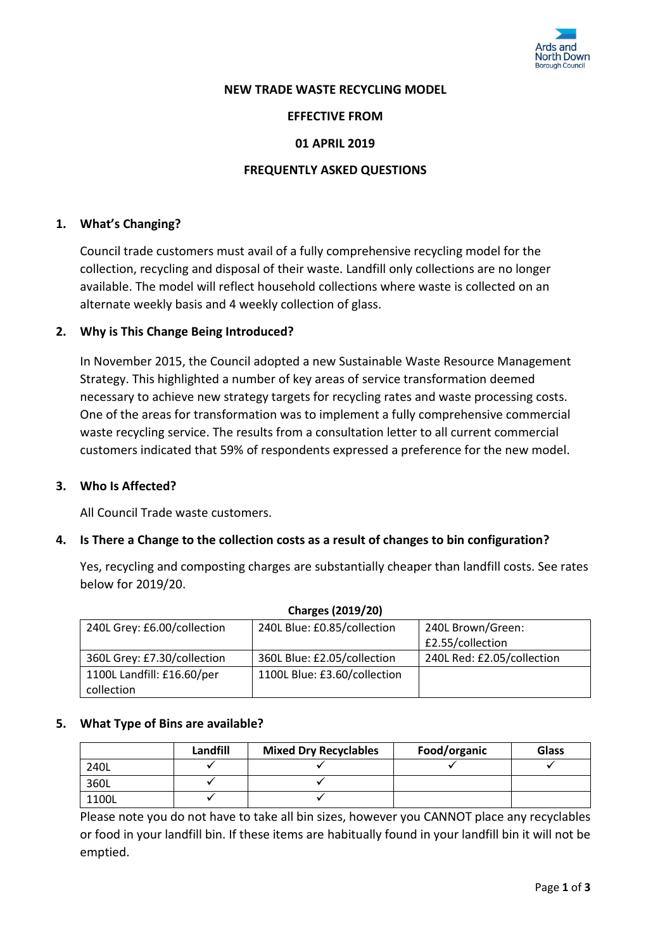

#### **NEW TRADE WASTE RECYCLING MODEL**

#### **EFFECTIVE FROM**

### **01 APRIL 2019**

#### **FREQUENTLY ASKED QUESTIONS**

#### **1. What's Changing?**

Council trade customers must avail of a fully comprehensive recycling model for the collection, recycling and disposal of their waste. Landfill only collections are no longer available. The model will reflect household collections where waste is collected on an alternate weekly basis and 4 weekly collection of glass.

#### **2. Why is This Change Being Introduced?**

In November 2015, the Council adopted a new Sustainable Waste Resource Management Strategy. This highlighted a number of key areas of service transformation deemed necessary to achieve new strategy targets for recycling rates and waste processing costs. One of the areas for transformation was to implement a fully comprehensive commercial waste recycling service. The results from a consultation letter to all current commercial customers indicated that 59% of respondents expressed a preference for the new model.

#### **3. Who Is Affected?**

All Council Trade waste customers.

#### **4. Is There a Change to the collection costs as a result of changes to bin configuration?**

Yes, recycling and composting charges are substantially cheaper than landfill costs. See rates below for 2019/20.

| <b>Charges (2019/20)</b>    |                              |                            |  |  |
|-----------------------------|------------------------------|----------------------------|--|--|
| 240L Grey: £6.00/collection | 240L Blue: £0.85/collection  | 240L Brown/Green:          |  |  |
|                             |                              | £2.55/collection           |  |  |
| 360L Grey: £7.30/collection | 360L Blue: £2.05/collection  | 240L Red: £2.05/collection |  |  |
| 1100L Landfill: £16.60/per  | 1100L Blue: £3.60/collection |                            |  |  |
| collection                  |                              |                            |  |  |

#### **Charges (2019/20)**

## **5. What Type of Bins are available?**

|       | Landfill | <b>Mixed Dry Recyclables</b> | Food/organic | <b>Glass</b> |
|-------|----------|------------------------------|--------------|--------------|
| 240L  |          |                              |              |              |
| 360L  |          |                              |              |              |
| 1100L |          |                              |              |              |

Please note you do not have to take all bin sizes, however you CANNOT place any recyclables or food in your landfill bin. If these items are habitually found in your landfill bin it will not be emptied.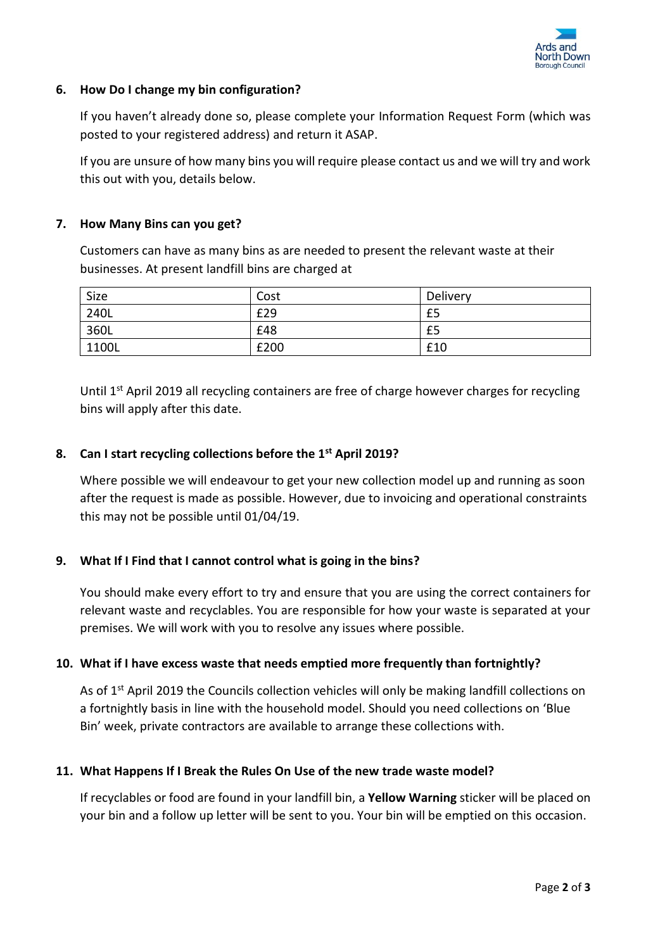

## **6. How Do I change my bin configuration?**

If you haven't already done so, please complete your Information Request Form (which was posted to your registered address) and return it ASAP.

If you are unsure of how many bins you will require please contact us and we will try and work this out with you, details below.

## **7. How Many Bins can you get?**

Customers can have as many bins as are needed to present the relevant waste at their businesses. At present landfill bins are charged at

| Size  | Cost | Delivery |
|-------|------|----------|
| 240L  | £29  | £5       |
| 360L  | £48  | £5       |
| 1100L | £200 | £10      |

Until 1<sup>st</sup> April 2019 all recycling containers are free of charge however charges for recycling bins will apply after this date.

# **8. Can I start recycling collections before the 1st April 2019?**

Where possible we will endeavour to get your new collection model up and running as soon after the request is made as possible. However, due to invoicing and operational constraints this may not be possible until 01/04/19.

## **9. What If I Find that I cannot control what is going in the bins?**

You should make every effort to try and ensure that you are using the correct containers for relevant waste and recyclables. You are responsible for how your waste is separated at your premises. We will work with you to resolve any issues where possible.

## **10. What if I have excess waste that needs emptied more frequently than fortnightly?**

As of 1<sup>st</sup> April 2019 the Councils collection vehicles will only be making landfill collections on a fortnightly basis in line with the household model. Should you need collections on 'Blue Bin' week, private contractors are available to arrange these collections with.

## **11. What Happens If I Break the Rules On Use of the new trade waste model?**

If recyclables or food are found in your landfill bin, a **Yellow Warning** sticker will be placed on your bin and a follow up letter will be sent to you. Your bin will be emptied on this occasion.